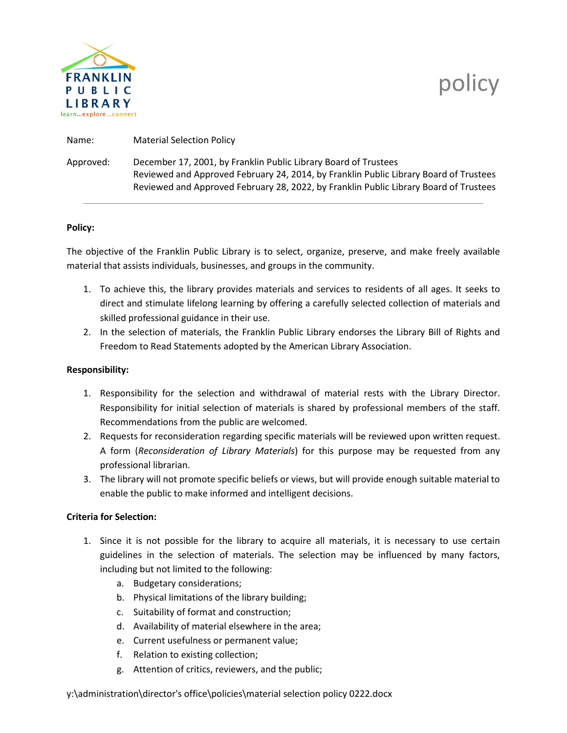

## policy

| Name:     | <b>Material Selection Policy</b>                                                                                                                                                                                                                  |
|-----------|---------------------------------------------------------------------------------------------------------------------------------------------------------------------------------------------------------------------------------------------------|
| Approved: | December 17, 2001, by Franklin Public Library Board of Trustees<br>Reviewed and Approved February 24, 2014, by Franklin Public Library Board of Trustees<br>Reviewed and Approved February 28, 2022, by Franklin Public Library Board of Trustees |

## **Policy:**

The objective of the Franklin Public Library is to select, organize, preserve, and make freely available material that assists individuals, businesses, and groups in the community.

- 1. To achieve this, the library provides materials and services to residents of all ages. It seeks to direct and stimulate lifelong learning by offering a carefully selected collection of materials and skilled professional guidance in their use.
- 2. In the selection of materials, the Franklin Public Library endorses the Library Bill of Rights and Freedom to Read Statements adopted by the American Library Association.

## **Responsibility:**

- 1. Responsibility for the selection and withdrawal of material rests with the Library Director. Responsibility for initial selection of materials is shared by professional members of the staff. Recommendations from the public are welcomed.
- 2. Requests for reconsideration regarding specific materials will be reviewed upon written request. A form (*Reconsideration of Library Materials*) for this purpose may be requested from any professional librarian.
- 3. The library will not promote specific beliefs or views, but will provide enough suitable material to enable the public to make informed and intelligent decisions.

## **Criteria for Selection:**

- 1. Since it is not possible for the library to acquire all materials, it is necessary to use certain guidelines in the selection of materials. The selection may be influenced by many factors, including but not limited to the following:
	- a. Budgetary considerations;
	- b. Physical limitations of the library building;
	- c. Suitability of format and construction;
	- d. Availability of material elsewhere in the area;
	- e. Current usefulness or permanent value;
	- f. Relation to existing collection;
	- g. Attention of critics, reviewers, and the public;

y:\administration\director's office\policies\material selection policy 0222.docx